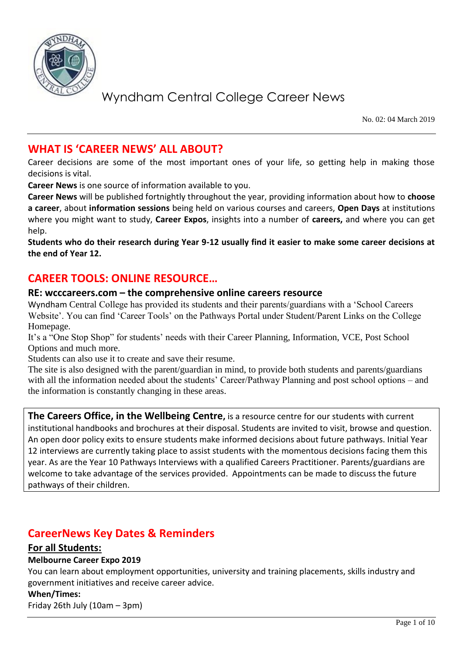

No. 02: 04 March 2019

## **WHAT IS 'CAREER NEWS' ALL ABOUT?**

Career decisions are some of the most important ones of your life, so getting help in making those decisions is vital.

**Career News** is one source of information available to you.

**Career News** will be published fortnightly throughout the year, providing information about how to **choose a career**, about **information sessions** being held on various courses and careers, **Open Days** at institutions where you might want to study, **Career Expos**, insights into a number of **careers,** and where you can get help.

**Students who do their research during Year 9-12 usually find it easier to make some career decisions at the end of Year 12.**

## **CAREER TOOLS: ONLINE RESOURCE…**

### **RE: wcccareers.com – the comprehensive online careers resource**

Wyndham Central College has provided its students and their parents/guardians with a 'School Careers Website'. You can find 'Career Tools' on the Pathways Portal under Student/Parent Links on the College Homepage.

It's a "One Stop Shop" for students' needs with their Career Planning, Information, VCE, Post School Options and much more.

Students can also use it to create and save their resume.

The site is also designed with the parent/guardian in mind, to provide both students and parents/guardians with all the information needed about the students' Career/Pathway Planning and post school options – and the information is constantly changing in these areas.

**The Careers Office, in the Wellbeing Centre,** is a resource centre for our students with current institutional handbooks and brochures at their disposal. Students are invited to visit, browse and question. An open door policy exits to ensure students make informed decisions about future pathways. Initial Year 12 interviews are currently taking place to assist students with the momentous decisions facing them this year. As are the Year 10 Pathways Interviews with a qualified Careers Practitioner. Parents/guardians are welcome to take advantage of the services provided. Appointments can be made to discuss the future pathways of their children.

## **CareerNews Key Dates & Reminders**

### **For all Students:**

### **Melbourne Career Expo 2019**

You can learn about employment opportunities, university and training placements, skills industry and government initiatives and receive career advice.

### **When/Times:**

Friday 26th July (10am – 3pm)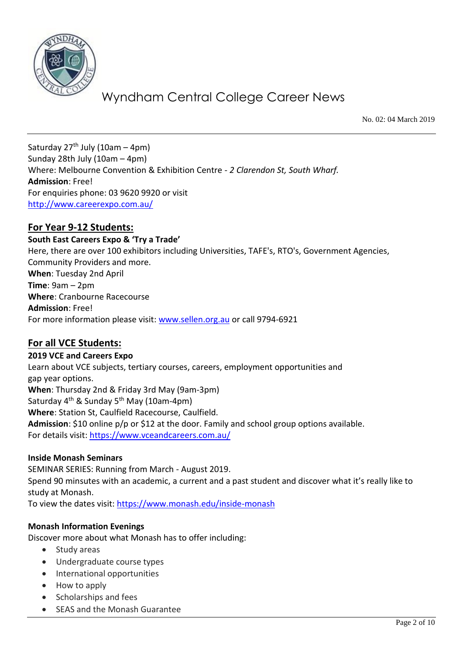

No. 02: 04 March 2019

Saturday  $27<sup>th</sup>$  July (10am – 4pm) Sunday 28th July (10am – 4pm) Where: Melbourne Convention & Exhibition Centre - *2 Clarendon St, South Wharf.*  **Admission**: Free! For enquiries phone: 03 9620 9920 or visit <http://www.careerexpo.com.au/>

### **For Year 9-12 Students:**

**South East Careers Expo & 'Try a Trade'**

Here, there are over 100 exhibitors including Universities, TAFE's, RTO's, Government Agencies, Community Providers and more. **When**: Tuesday 2nd April **Time**: 9am – 2pm **Where**: Cranbourne Racecourse **Admission**: Free! For more information please visit: [www.sellen.org.au](http://www.sellen.org.au/) or call 9794-6921

### **For all VCE Students:**

**2019 VCE and Careers Expo** 

Learn about VCE subjects, tertiary courses, careers, employment opportunities and gap year options. **When**: Thursday 2nd & Friday 3rd May (9am-3pm) Saturday 4<sup>th</sup> & Sunday 5<sup>th</sup> May (10am-4pm) **Where**: Station St, Caulfield Racecourse, Caulfield. **Admission**: \$10 online p/p or \$12 at the door. Family and school group options available. For details visit:<https://www.vceandcareers.com.au/>

### **Inside Monash Seminars**

SEMINAR SERIES: Running from March - August 2019. Spend 90 minsutes with an academic, a current and a past student and discover what it's really like to study at Monash.

To view the dates visit:<https://www.monash.edu/inside-monash>

### **Monash Information Evenings**

Discover more about what Monash has to offer including:

- Study areas
- Undergraduate course types
- International opportunities
- How to apply
- Scholarships and fees
- SEAS and the Monash Guarantee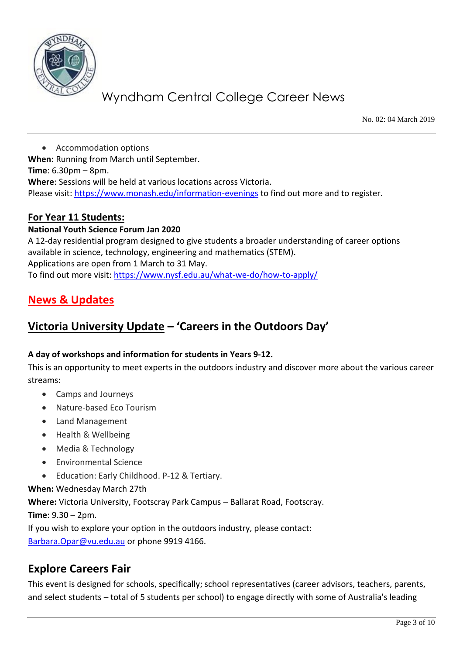

No. 02: 04 March 2019

 Accommodation options **When:** Running from March until September. **Time**: 6.30pm – 8pm. **Where**: Sessions will be held at various locations across Victoria. Please visit:<https://www.monash.edu/information-evenings> to find out more and to register.

### **For Year 11 Students:**

### **National Youth Science Forum Jan 2020**

A 12-day residential program designed to give students a broader understanding of career options available in science, technology, engineering and mathematics (STEM). Applications are open from 1 March to 31 May. To find out more visit:<https://www.nysf.edu.au/what-we-do/how-to-apply/>

## **News & Updates**

## **Victoria University Update – 'Careers in the Outdoors Day'**

### **A day of workshops and information for students in Years 9-12.**

This is an opportunity to meet experts in the outdoors industry and discover more about the various career streams:

- Camps and Journeys
- Nature-based Eco Tourism
- Land Management
- Health & Wellbeing
- Media & Technology
- Environmental Science
- Education: Early Childhood. P-12 & Tertiary.

### **When:** Wednesday March 27th

**Where:** Victoria University, Footscray Park Campus – Ballarat Road, Footscray.

**Time**: 9.30 – 2pm.

If you wish to explore your option in the outdoors industry, please contact: [Barbara.Opar@vu.edu.au](mailto:Barbara.Opar@vu.edu.au) or phone 9919 4166.

## **Explore Careers Fair**

This event is designed for schools, specifically; school representatives (career advisors, teachers, parents, and select students – total of 5 students per school) to engage directly with some of Australia's leading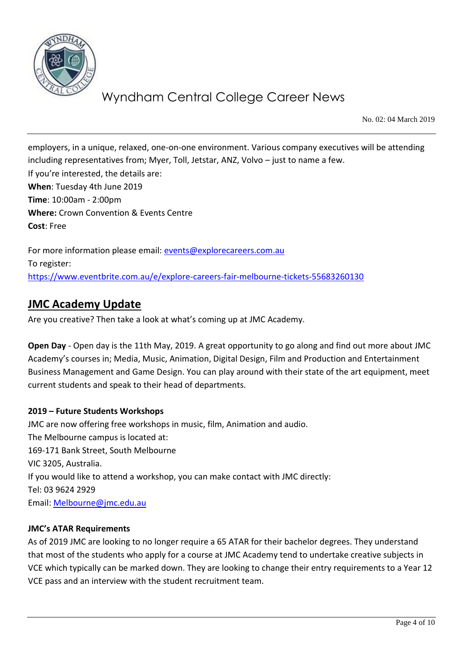

No. 02: 04 March 2019

employers, in a unique, relaxed, one-on-one environment. Various company executives will be attending including representatives from; Myer, Toll, Jetstar, ANZ, Volvo – just to name a few. If you're interested, the details are: **When**: Tuesday 4th June 2019 **Time**: 10:00am - 2:00pm **Where:** Crown Convention & Events Centre **Cost**: Free

For more information please email: [events@explorecareers.com.au](mailto:events@explorecareers.com.au) To register: <https://www.eventbrite.com.au/e/explore-careers-fair-melbourne-tickets-55683260130>

## **JMC Academy Update**

Are you creative? Then take a look at what's coming up at JMC Academy.

**Open Day** - Open day is the 11th May, 2019. A great opportunity to go along and find out more about JMC Academy's courses in; Media, Music, Animation, Digital Design, Film and Production and Entertainment Business Management and Game Design. You can play around with their state of the art equipment, meet current students and speak to their head of departments.

### **2019 – Future Students Workshops**

JMC are now offering free workshops in music, film, Animation and audio. The Melbourne campus is located at: 169-171 Bank Street, South Melbourne VIC 3205, Australia. If you would like to attend a workshop, you can make contact with JMC directly: Tel: 03 9624 2929 Email: [Melbourne@jmc.edu.au](mailto:Melbourne@jmc.edu.au)

### **JMC's ATAR Requirements**

As of 2019 JMC are looking to no longer require a 65 ATAR for their bachelor degrees. They understand that most of the students who apply for a course at JMC Academy tend to undertake creative subjects in VCE which typically can be marked down. They are looking to change their entry requirements to a Year 12 VCE pass and an interview with the student recruitment team.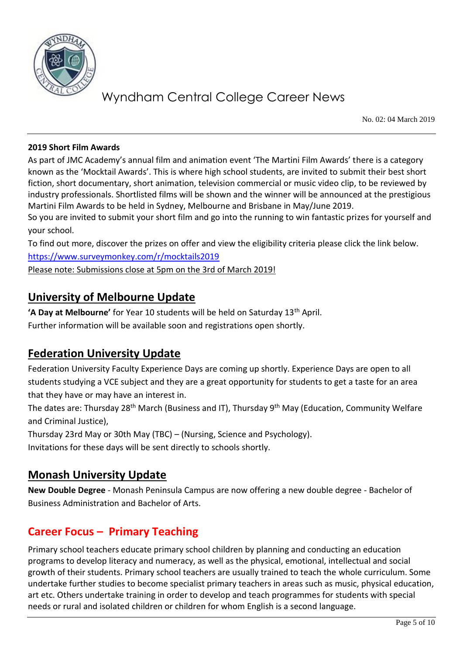

No. 02: 04 March 2019

#### **2019 Short Film Awards**

As part of JMC Academy's annual film and animation event 'The Martini Film Awards' there is a category known as the 'Mocktail Awards'. This is where high school students, are invited to submit their best short fiction, short documentary, short animation, television commercial or music video clip, to be reviewed by industry professionals. Shortlisted films will be shown and the winner will be announced at the prestigious Martini Film Awards to be held in Sydney, Melbourne and Brisbane in May/June 2019.

So you are invited to submit your short film and go into the running to win fantastic prizes for yourself and your school.

To find out more, discover the prizes on offer and view the eligibility criteria please click the link below. <https://www.surveymonkey.com/r/mocktails2019>

Please note: Submissions close at 5pm on the 3rd of March 2019!

## **University of Melbourne Update**

**'A Day at Melbourne'** for Year 10 students will be held on Saturday 13th April.

Further information will be available soon and registrations open shortly.

## **Federation University Update**

Federation University Faculty Experience Days are coming up shortly. Experience Days are open to all students studying a VCE subject and they are a great opportunity for students to get a taste for an area that they have or may have an interest in.

The dates are: Thursday 28<sup>th</sup> March (Business and IT), Thursday 9<sup>th</sup> May (Education, Community Welfare and Criminal Justice),

Thursday 23rd May or 30th May (TBC) – (Nursing, Science and Psychology).

Invitations for these days will be sent directly to schools shortly.

## **Monash University Update**

**New Double Degree** - Monash Peninsula Campus are now offering a new double degree - Bachelor of Business Administration and Bachelor of Arts.

## **Career Focus – Primary Teaching**

Primary school teachers educate primary school children by planning and conducting an education programs to develop literacy and numeracy, as well as the physical, emotional, intellectual and social growth of their students. Primary school teachers are usually trained to teach the whole curriculum. Some undertake further studies to become specialist primary teachers in areas such as music, physical education, art etc. Others undertake training in order to develop and teach programmes for students with special needs or rural and isolated children or children for whom English is a second language.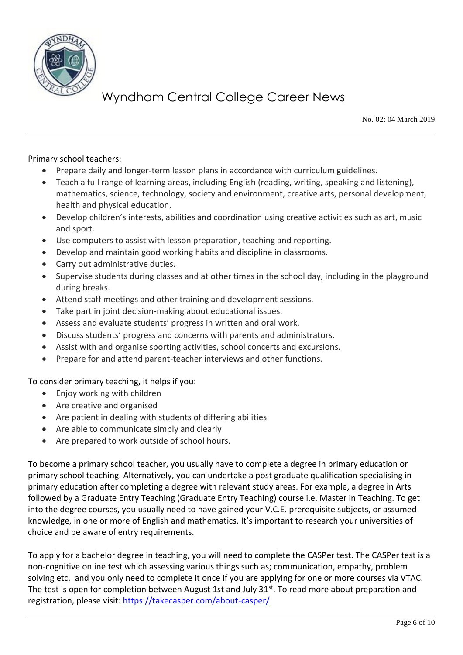

No. 02: 04 March 2019

Primary school teachers:

- Prepare daily and longer-term lesson plans in accordance with curriculum guidelines.
- Teach a full range of learning areas, including English (reading, writing, speaking and listening), mathematics, science, technology, society and environment, creative arts, personal development, health and physical education.
- Develop children's interests, abilities and coordination using creative activities such as art, music and sport.
- Use computers to assist with lesson preparation, teaching and reporting.
- Develop and maintain good working habits and discipline in classrooms.
- Carry out administrative duties.
- Supervise students during classes and at other times in the school day, including in the playground during breaks.
- Attend staff meetings and other training and development sessions.
- Take part in joint decision-making about educational issues.
- Assess and evaluate students' progress in written and oral work.
- Discuss students' progress and concerns with parents and administrators.
- Assist with and organise sporting activities, school concerts and excursions.
- Prepare for and attend parent-teacher interviews and other functions.

To consider primary teaching, it helps if you:

- Enjoy working with children
- Are creative and organised
- Are patient in dealing with students of differing abilities
- Are able to communicate simply and clearly
- Are prepared to work outside of school hours.

To become a primary school teacher, you usually have to complete a degree in primary education or primary school teaching. Alternatively, you can undertake a post graduate qualification specialising in primary education after completing a degree with relevant study areas. For example, a degree in Arts followed by a Graduate Entry Teaching (Graduate Entry Teaching) course i.e. Master in Teaching. To get into the degree courses, you usually need to have gained your V.C.E. prerequisite subjects, or assumed knowledge, in one or more of English and mathematics. It's important to research your universities of choice and be aware of entry requirements.

To apply for a bachelor degree in teaching, you will need to complete the CASPer test. The CASPer test is a non-cognitive online test which assessing various things such as; communication, empathy, problem solving etc. and you only need to complete it once if you are applying for one or more courses via VTAC. The test is open for completion between August 1st and July  $31^{st}$ . To read more about preparation and registration, please visit:<https://takecasper.com/about-casper/>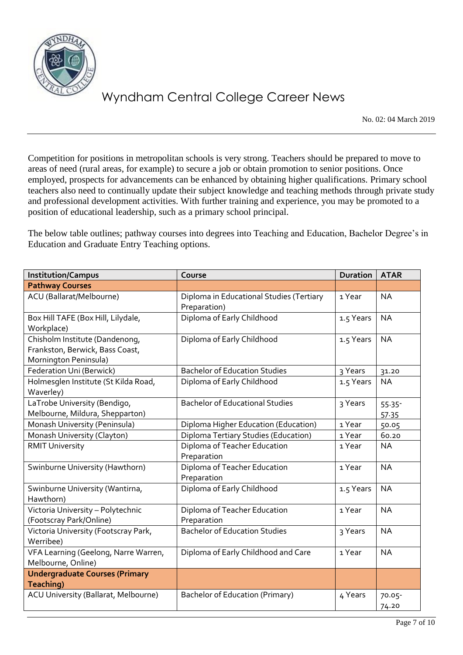

No. 02: 04 March 2019

Competition for positions in metropolitan schools is very strong. Teachers should be prepared to move to areas of need (rural areas, for example) to secure a job or obtain promotion to senior positions. Once employed, prospects for advancements can be enhanced by obtaining higher qualifications. Primary school teachers also need to continually update their subject knowledge and teaching methods through private study and professional development activities. With further training and experience, you may be promoted to a position of educational leadership, such as a primary school principal.

The below table outlines; pathway courses into degrees into Teaching and Education, Bachelor Degree's in Education and Graduate Entry Teaching options.

| <b>Institution/Campus</b>                                                                  | Course                                                   | <b>Duration</b> | <b>ATAR</b>        |
|--------------------------------------------------------------------------------------------|----------------------------------------------------------|-----------------|--------------------|
| <b>Pathway Courses</b>                                                                     |                                                          |                 |                    |
| ACU (Ballarat/Melbourne)                                                                   | Diploma in Educational Studies (Tertiary<br>Preparation) | 1 Year          | <b>NA</b>          |
| Box Hill TAFE (Box Hill, Lilydale,<br>Workplace)                                           | Diploma of Early Childhood                               | 1.5 Years       | <b>NA</b>          |
| Chisholm Institute (Dandenong,<br>Frankston, Berwick, Bass Coast,<br>Mornington Peninsula) | Diploma of Early Childhood                               | 1.5 Years       | <b>NA</b>          |
| Federation Uni (Berwick)                                                                   | <b>Bachelor of Education Studies</b>                     | 3 Years         | 31.20              |
| Holmesglen Institute (St Kilda Road,<br>Waverley)                                          | Diploma of Early Childhood                               | 1.5 Years       | <b>NA</b>          |
| LaTrobe University (Bendigo,<br>Melbourne, Mildura, Shepparton)                            | <b>Bachelor of Educational Studies</b>                   | 3 Years         | $55.35 -$<br>57.35 |
| Monash University (Peninsula)                                                              | Diploma Higher Education (Education)                     | 1 Year          | 50.05              |
| Monash University (Clayton)                                                                | Diploma Tertiary Studies (Education)                     | 1 Year          | 60.20              |
| <b>RMIT University</b>                                                                     | Diploma of Teacher Education<br>Preparation              | 1 Year          | <b>NA</b>          |
| Swinburne University (Hawthorn)                                                            | Diploma of Teacher Education<br>Preparation              | 1 Year          | <b>NA</b>          |
| Swinburne University (Wantirna,<br>Hawthorn)                                               | Diploma of Early Childhood                               | 1.5 Years       | <b>NA</b>          |
| Victoria University - Polytechnic<br>(Footscray Park/Online)                               | Diploma of Teacher Education<br>Preparation              | 1 Year          | <b>NA</b>          |
| Victoria University (Footscray Park,<br>Werribee)                                          | <b>Bachelor of Education Studies</b>                     | 3 Years         | <b>NA</b>          |
| VFA Learning (Geelong, Narre Warren,<br>Melbourne, Online)                                 | Diploma of Early Childhood and Care                      | 1 Year          | <b>NA</b>          |
| <b>Undergraduate Courses (Primary</b><br>Teaching)                                         |                                                          |                 |                    |
| ACU University (Ballarat, Melbourne)                                                       | Bachelor of Education (Primary)                          | 4 Years         | $70.05 -$<br>74.20 |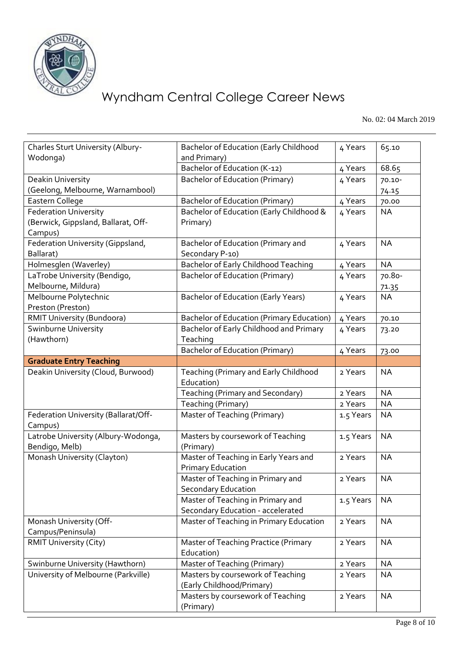

No. 02: 04 March 2019

| Charles Sturt University (Albury-<br>Wodonga)         | <b>Bachelor of Education (Early Childhood</b><br>and Primary)          | 4 Years   | 65.10     |
|-------------------------------------------------------|------------------------------------------------------------------------|-----------|-----------|
|                                                       | Bachelor of Education (K-12)                                           | 4 Years   | 68.65     |
| Deakin University                                     | <b>Bachelor of Education (Primary)</b>                                 | 4 Years   | 70.10-    |
| (Geelong, Melbourne, Warnambool)                      |                                                                        |           | 74.15     |
| Eastern College                                       | <b>Bachelor of Education (Primary)</b>                                 | 4 Years   | 70.00     |
| <b>Federation University</b>                          | Bachelor of Education (Early Childhood &                               | 4 Years   | <b>NA</b> |
| (Berwick, Gippsland, Ballarat, Off-<br>Campus)        | Primary)                                                               |           |           |
| Federation University (Gippsland,                     | Bachelor of Education (Primary and                                     | 4 Years   | <b>NA</b> |
| Ballarat)                                             | Secondary P-10)                                                        |           |           |
| Holmesglen (Waverley)                                 | <b>Bachelor of Early Childhood Teaching</b>                            | 4 Years   | <b>NA</b> |
| LaTrobe University (Bendigo,                          | <b>Bachelor of Education (Primary)</b>                                 | 4 Years   | 70.80-    |
| Melbourne, Mildura)                                   |                                                                        |           | 71.35     |
| Melbourne Polytechnic                                 | <b>Bachelor of Education (Early Years)</b>                             | 4 Years   | <b>NA</b> |
| Preston (Preston)                                     |                                                                        |           |           |
| RMIT University (Bundoora)                            | <b>Bachelor of Education (Primary Education)</b>                       | 4 Years   | 70.10     |
| Swinburne University                                  | Bachelor of Early Childhood and Primary                                | 4 Years   | 73.20     |
| (Hawthorn)                                            | Teaching                                                               |           |           |
|                                                       | Bachelor of Education (Primary)                                        | 4 Years   | 73.00     |
| <b>Graduate Entry Teaching</b>                        |                                                                        |           |           |
| Deakin University (Cloud, Burwood)                    | Teaching (Primary and Early Childhood<br>Education)                    | 2 Years   | <b>NA</b> |
|                                                       | Teaching (Primary and Secondary)                                       | 2 Years   | <b>NA</b> |
|                                                       | Teaching (Primary)                                                     | 2 Years   | <b>NA</b> |
| Federation University (Ballarat/Off-<br>Campus)       | Master of Teaching (Primary)                                           | 1.5 Years | <b>NA</b> |
| Latrobe University (Albury-Wodonga,<br>Bendigo, Melb) | Masters by coursework of Teaching<br>(Primary)                         | 1.5 Years | <b>NA</b> |
| Monash University (Clayton)                           | Master of Teaching in Early Years and<br><b>Primary Education</b>      | 2 Years   | <b>NA</b> |
|                                                       | Master of Teaching in Primary and<br><b>Secondary Education</b>        | 2 Years   | <b>NA</b> |
|                                                       | Master of Teaching in Primary and<br>Secondary Education - accelerated | 1.5 Years | <b>NA</b> |
| Monash University (Off-                               | Master of Teaching in Primary Education                                | 2 Years   | <b>NA</b> |
| Campus/Peninsula)                                     |                                                                        |           |           |
| <b>RMIT University (City)</b>                         | Master of Teaching Practice (Primary<br>Education)                     | 2 Years   | <b>NA</b> |
| Swinburne University (Hawthorn)                       | Master of Teaching (Primary)                                           | 2 Years   | <b>NA</b> |
| University of Melbourne (Parkville)                   | Masters by coursework of Teaching<br>(Early Childhood/Primary)         | 2 Years   | <b>NA</b> |
|                                                       | Masters by coursework of Teaching<br>(Primary)                         | 2 Years   | <b>NA</b> |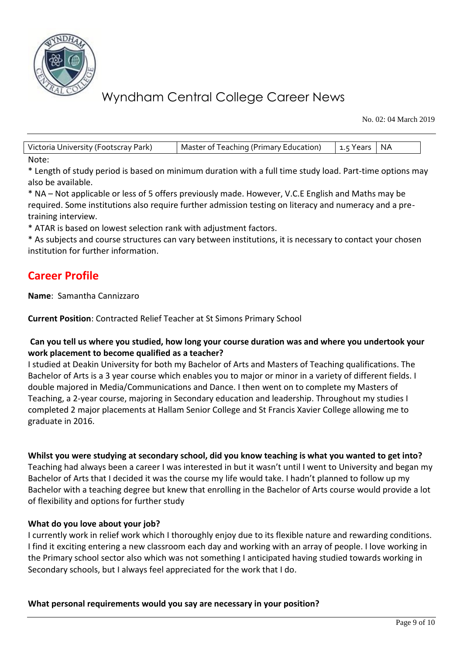

No. 02: 04 March 2019

Victoria University (Footscray Park) | Master of Teaching (Primary Education) | 1.5 Years | NA Note:

\* Length of study period is based on minimum duration with a full time study load. Part-time options may also be available.

\* NA – Not applicable or less of 5 offers previously made. However, V.C.E English and Maths may be required. Some institutions also require further admission testing on literacy and numeracy and a pretraining interview.

\* ATAR is based on lowest selection rank with adjustment factors.

\* As subjects and course structures can vary between institutions, it is necessary to contact your chosen institution for further information.

## **Career Profile**

**Name**: Samantha Cannizzaro

**Current Position**: Contracted Relief Teacher at St Simons Primary School

### **Can you tell us where you studied, how long your course duration was and where you undertook your work placement to become qualified as a teacher?**

I studied at Deakin University for both my Bachelor of Arts and Masters of Teaching qualifications. The Bachelor of Arts is a 3 year course which enables you to major or minor in a variety of different fields. I double majored in Media/Communications and Dance. I then went on to complete my Masters of Teaching, a 2-year course, majoring in Secondary education and leadership. Throughout my studies I completed 2 major placements at Hallam Senior College and St Francis Xavier College allowing me to graduate in 2016.

**Whilst you were studying at secondary school, did you know teaching is what you wanted to get into?**

Teaching had always been a career I was interested in but it wasn't until I went to University and began my Bachelor of Arts that I decided it was the course my life would take. I hadn't planned to follow up my Bachelor with a teaching degree but knew that enrolling in the Bachelor of Arts course would provide a lot of flexibility and options for further study

### **What do you love about your job?**

I currently work in relief work which I thoroughly enjoy due to its flexible nature and rewarding conditions. I find it exciting entering a new classroom each day and working with an array of people. I love working in the Primary school sector also which was not something I anticipated having studied towards working in Secondary schools, but I always feel appreciated for the work that I do.

### **What personal requirements would you say are necessary in your position?**